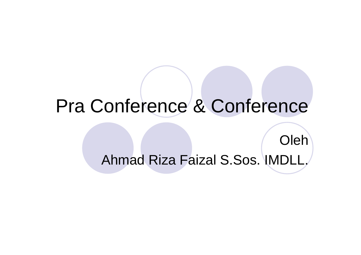# Pra Conference & Conference

OlehAhmad Riza Faizal S.Sos. IMDLL.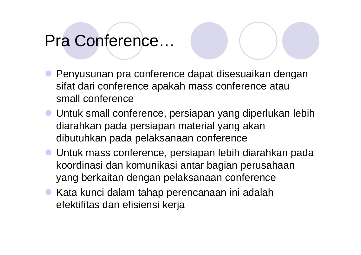### Pra Conference…

- **Penyusunan pra conference dapat disesuaikan dengan** sifat dari conference apakah mass conference atau small conference
- **Untuk small conference, persiapan yang diperlukan lebih**<br>diarahkan pada persiapan material yang akan diarahkan pada persiapan material yang akan dibutuhkan pada pelaksanaan conference
- **Untuk mass conference, persiapan lebih diarahkan pada** koordinasi dan komunikasi antar bagian perusahaan yang berkaitan dengan pelaksanaan conference
- **Kata kunci dalam tahap perencanaan ini adalah** efektifitas dan efisiensi kerja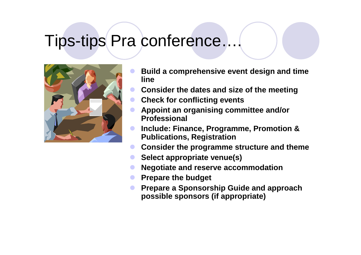#### Tips-tips Pra conference….



- $\bullet$  **Build a comprehensive event design and time line**
- **Consider the dates and size of the meeting**  $\bullet$
- $\bullet$ **Check for conflicting events**
- $\bullet$  **Appoint an organising committee and/or Professional**
- $\bullet$  **Include: Finance, Programme, Promotion & Publications, Registration**
- **Consider the programme structure and theme**  $\bullet$
- $\bullet$ **Select appropriate venue(s)**
- $\bullet$ **Negotiate and reserve accommodation**
- $\bullet$ **Prepare the budget**
- $\bullet$  **Prepare a Sponsorship Guide and approach possible sponsors (if appropriate)**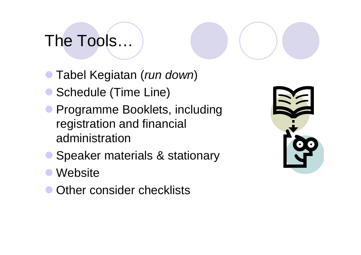## The Tools…

- **Tabel Kegiatan (run down)**
- Schedule (Time Line)
- **Programme Booklets, including** registration and financial administration
- $\bullet$ Speaker materials & stationary
- $\bullet$ **Website**
- $\bullet$ Other consider checklists

| C<br>$\bullet$ $\bullet$ |
|--------------------------|
|                          |
|                          |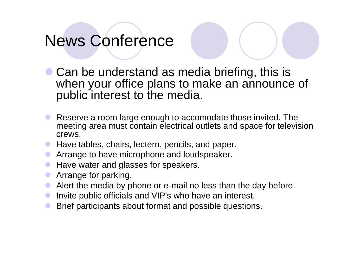# News Conference

- Can be understand as media briefing, this is<br>when your office plans to make an announce when your office plans to make an announce of public interest to the media.
- $\bullet$  Reserve a room large enough to accomodate those invited. The meeting area must contain electrical outlets and space for television crews.
- **Have tables, chairs, lectern, pencils, and paper.**<br>• Arrange to boys misraphene and levelance kar.
- $\bullet$ Arrange to have microphone and loudspeaker.
- $\bullet$ Have water and glasses for speakers.
- $\bullet$ Arrange for parking.
- $\bullet$ Alert the media by phone or e-mail no less than the day before.
- $\bullet$ Invite public officials and VIP's who have an interest.
- $\bullet$ Brief participants about format and possible questions.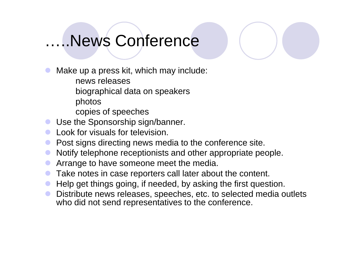### …..News Conference

 $\bullet$ Make up a press kit, which may include:

news releases

biographical data on speakers

photos

copies of speeches

- $\bullet$ Use the Sponsorship sign/banner.
- $\bullet$ Look for visuals for television.
- $\bullet$ Post signs directing news media to the conference site.
- $\bullet$ Notify telephone receptionists and other appropriate people.
- $\bullet$ Arrange to have someone meet the media.
- $\bullet$ Take notes in case reporters call later about the content.
- $\bullet$ Help get things going, if needed, by asking the first question.
- $\bullet$  Distribute news releases, speeches, etc. to selected media outlets who did not send representatives to the conference.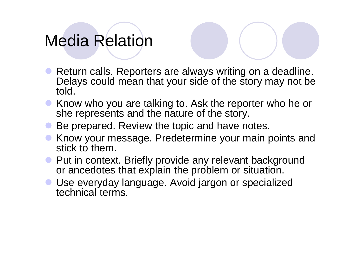### Media Relation

- $\bullet$  Return calls. Reporters are always writing on a deadline. Delays could mean that your side of the story may not be told.
- Know who you are talking to. Ask the reporter who he or<br>she represents and the nature of the story she represents and the nature of the story.
- Be prepared. Review the topic and have notes.
- Know your message. Predetermine your main points and stick to them stick to them.
- Put in context. Briefly provide any relevant background<br>or ancedotes that explain the problem or situation or ancedotes that explain the problem or situation.
- Use everyday language. Avoid jargon or specialized technical terms.